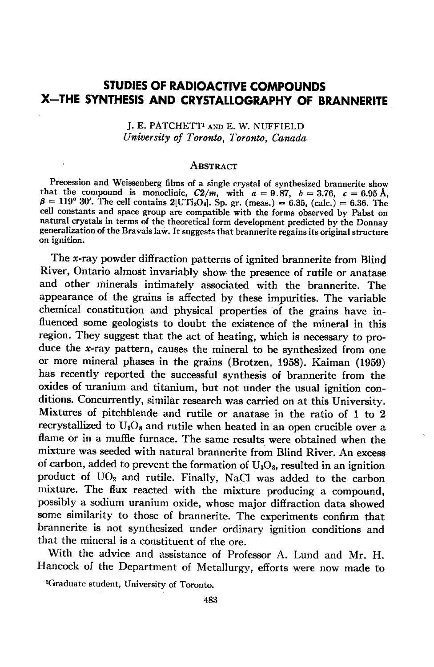# STUDIES OF RADIOACTIVE COMPOUNDS X-THE SYNTHESIS AND CRYSTALLOGRAPHY OF BRANNERITE

J. E. PATCHETT<sup>1</sup> AND E. W. NUFFIELD University of Toronto, Toronto, Canada

#### **ABSTRACT**

Precession and Weissenberg 6lms of a single crystal of synthesized brannerite show that the compound is monoclinic,  $C2/m$ , with  $a = 9.87$ ,  $b = 3.76$ ,  $c = 6.95$  Å,  $\beta = 119^{\circ}$  30'. The cell contains 2[UTi<sub>2</sub>O<sub>6</sub>]. Sp. gr. (meas.) = 6.35, (calc.) = 6.36. The cell constants and space group are compatible with the forms observed by Pabst on natural crystals in terms of the theoretical form development predicted by the Donnay generalization of the Bravais law. It suggests that brannerite regains its original structure on ignition.

The x-ray powder diffraction patterns of ignited brannerite from Blind River, Ontario almost invariably show the presence of rutile or anatase and other minerals intimately associated with the brannerite. The appearance of the grains is affected by these impurities. The variable chemical constitution and physical properties of the grains have influenced some geologists to doubt the existence of the mineral in this region. They suggest that the act of heating, which is necessary to produce the  $x$ -ray pattern, causes the mineral to be synthesized from one or more mineral phases in the grains (Brotzen, 1958). Kaiman (1959) has recently reported the successful synthesis of brannerite from the oxides of uranium and titanium, but not under the usual ignition conditions. Concurrently, similar research was carried on at this University. Mixtures of pitchblende and rutile or anatase in the ratio of 1 to 2 recrystallized to  $U_8O_8$  and rutile when heated in an open crucible over a flame or in a muffie furnace. The same results were obtained when the mixture was seeded with natural brannerite from Blind River. An excess of carbon, added to prevent the formation of  $U_3O_8$ , resulted in an ignition product of UO<sub>2</sub> and rutile. Finally, NaCl was added to the carbon mixture. The flux reacted with the mixture producing a compound, possibly a sodium uranium oxide, whose major difiraction data showed some similarity to those of brannerite. The experiments confirm that brannerite is not synthesized under ordinary ignition conditions and that the mineral is a constituent of the ore.

With the advice and assistance of Professor A. Lund and Mr. H. Hancock of the Department of Metallurgy, efiorts were now made to

rGraduate student, Universitv of Toronto.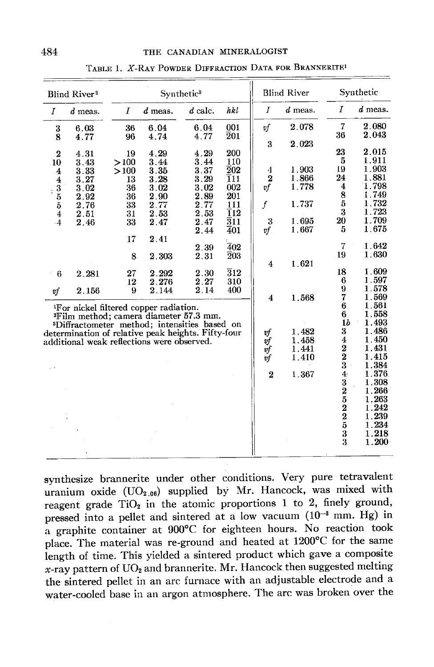| <b>Blind River<sup>2</sup></b>                                                                         |                                                                                                                                                                                                                                                                          |                                                                   | Synthetic <sup>3</sup>                                                                |                                                                                              |                                                                                                                         |                                                                                          | <b>Blind River</b>                                          |                                                                                                                                                         | Synthetic                                                                                                                                             |  |
|--------------------------------------------------------------------------------------------------------|--------------------------------------------------------------------------------------------------------------------------------------------------------------------------------------------------------------------------------------------------------------------------|-------------------------------------------------------------------|---------------------------------------------------------------------------------------|----------------------------------------------------------------------------------------------|-------------------------------------------------------------------------------------------------------------------------|------------------------------------------------------------------------------------------|-------------------------------------------------------------|---------------------------------------------------------------------------------------------------------------------------------------------------------|-------------------------------------------------------------------------------------------------------------------------------------------------------|--|
| $\overline{I}$                                                                                         | $d$ meas.                                                                                                                                                                                                                                                                | Ι                                                                 | $d$ meas.                                                                             | $d$ calc.                                                                                    | hkl                                                                                                                     | I                                                                                        | $d$ meas.                                                   | 1                                                                                                                                                       | $d$ meas.                                                                                                                                             |  |
| 3<br>8                                                                                                 | 6.03<br>4.77                                                                                                                                                                                                                                                             | 36<br>96                                                          | 6.04<br>4.74                                                                          | 6.04<br>4.77                                                                                 | 001<br>$\bar{2}01$                                                                                                      | υf<br>3                                                                                  | 2.078<br>2.023                                              | 7<br>36                                                                                                                                                 | 2.080<br>2.043                                                                                                                                        |  |
| $\overline{2}$<br>10<br>4<br>$\overline{\mathbf{4}}$<br>$\frac{3}{5}$<br>$\boldsymbol{4}$<br>$\cdot$ 4 | 4.31<br>3.43<br>3.33<br>3.27<br>3.02<br>2.92<br>2.76<br>2.51<br>2.46                                                                                                                                                                                                     | 19<br>>100<br>>100<br>13<br>36<br>36<br>33<br>31<br>33<br>17<br>8 | 4.29<br>3.44<br>3.35<br>3.28<br>3.02<br>2.90<br>2.77<br>2.53<br>2.47<br>2.41<br>2.303 | 4.29<br>3.44<br>3.37<br>3.29<br>3.02<br>2.89<br>2.77<br>2.53<br>2.47<br>2.44<br>2.39<br>2.31 | 200<br>110<br>$\overline{2}02$<br>T11<br>002<br>201<br>111<br>ī12<br>$\overline{3}11$<br>401<br>402<br>$\overline{2}03$ | 4<br>$\overline{2}$<br>vf<br>$\boldsymbol{f}$<br>3<br>$v f$ .<br>$\overline{\mathbf{4}}$ | 1.903<br>1.866<br>1.778<br>1.737<br>1.695<br>1.667<br>1.621 | 23<br>5<br>19<br>24<br>4<br>8<br>$\overline{5}$<br>3<br>20<br>5<br>7<br>19                                                                              | 2.015<br>1.911<br>1.903<br>1.881<br>1.798<br>1.749<br>1.732<br>1.723<br>1.709<br>1.675<br>1.642<br>1.630                                              |  |
| 6<br>k,<br>v f                                                                                         | 2.281<br>2.156                                                                                                                                                                                                                                                           | 27<br>12<br>9                                                     | $\boldsymbol{2.292}$<br>2.276<br>2.144                                                | 2.30<br>2.27<br>2.14                                                                         | $\overline{3}12$<br>310<br>400                                                                                          | $\overline{4}$                                                                           | 1.568                                                       | 18<br>6<br>9<br>7                                                                                                                                       | 1.609<br>1.597<br>1.578<br>1.569                                                                                                                      |  |
|                                                                                                        | <sup>1</sup> For nickel filtered copper radiation.<br><sup>2</sup> Film method; camera diameter 57.3 mm.<br><sup>3</sup> Diffractometer method; intensities based on<br>determination of relative peak heights. Fifty-four<br>additional weak reflections were observed. |                                                                   |                                                                                       |                                                                                              |                                                                                                                         | vf<br>vf<br>υf<br>$\check{v}$ f<br>$\overline{2}$                                        | 1.482<br>1.458<br>1.441<br>1.410<br>1.367                   | 6<br>6<br>1 <sub>b</sub><br>3<br>4<br>$\frac{2}{2}$<br>3<br>4<br>$\frac{3}{2}$<br>$\begin{array}{c} 5 \\ 2 \\ 3 \end{array}$<br>$\bar{\mathbf{3}}$<br>3 | 1.561<br>1.558<br>1.493<br>1.486<br>1.450<br>1.431<br>1.415<br>1.384<br>1.376<br>1.308<br>1.266<br>1.263<br>1.242<br>1.239<br>1.234<br>1.218<br>1.200 |  |

TABLE 1. X-RAY POWDER DIFFRACTION DATA FOR BRANNERITE1

synthesize brannerite under other conditions. Very pure tetravalent uranium oxide  $(UO_{2.06})$  supplied by Mr. Hancock, was mixed with reagent grade  $TiO<sub>2</sub>$  in the atomic proportions 1 to 2, finely ground, pressed into a pellet and sintered at a low vacuum  $(10^{-3}$  mm. Hg) in a graphite container at 900°C for eighteen hours. No reaction took place. The material was re-ground and heated at 1200°C for the same length of time. This yielded a sintered product which gave a composite  $x$ -ray pattern of UO<sub>2</sub> and brannerite. Mr. Hancock then suggested melting the sintered pellet in an arc furnace with an adjustable electrode and a water-cooled base in an argon atmosphere. The arc was broken over the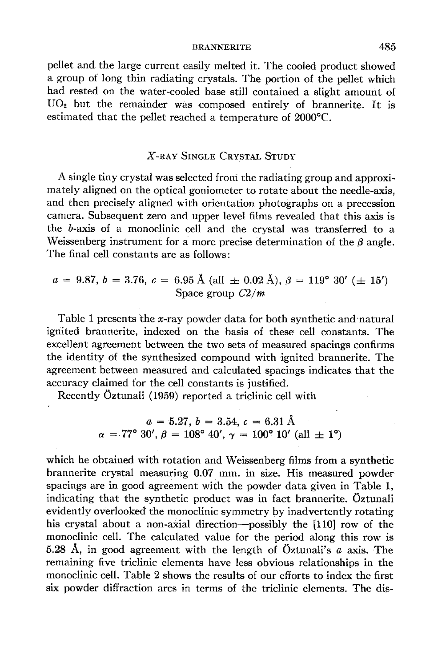#### BRANNERITE 485

pellet and the large current easily melted it. The cooled product showed a group of long thin radiating crystals. The portion of the pellet which had rested on the water-cooled base still contained a slight amount of  $UO<sub>2</sub>$  but the remainder was composed entirely of brannerite. It is estirnated that the pellet reached a temperature of 2000'C.

# X-RAY SINGLE CRYSTAL STUDY

A single tiny crystal was selected froni the radiating group and approximately aligned on the optical goniometer to rotate about the needle-axis, and then precisely aligned with orientation photographs on a precession camera. Subsequent zero and upper level films revealed that this axis is the b-axis of a monoclinic cell and the crystal was transferred to a Weissenberg instrument for a more precise determination of the  $\beta$  angle. The final cell constants are as follows:

$$
a = 9.87, b = 3.76, c = 6.95 \text{ Å (all } \pm 0.02 \text{ Å}), \beta = 119^{\circ} 30' (\pm 15')
$$
  
Space group  $C2/m$ 

Table 1 presents the x-ray powder data for both synthetic and natural ignited brannerite, indexed on the basis of these cell constants. The excellent agreement between the two sets of measured spacings confirms the identity of the synthesized compound with ignited brannerite. The agreement between measured and calculated spacings indicates that the accuracy.claimed for the cell constants is justified.

Recently Oztunali (1959) reported a triclinic cell with

$$
a = 5.27, b = 3.54, c = 6.31 \text{ Å}
$$
  

$$
\alpha = 77^{\circ} 30', \beta = 108^{\circ} 40', \gamma = 100^{\circ} 10' \text{ (all } \pm 1^{\circ}\text{)}
$$

which he obtained with rotation and Weissenberg films from a synthetic brannerite crystal measuring 0.07 mm. in size. His measured powder spacings are in good agreement with the powder data given in Table 1, indicating that the synthetic product was in fact brannerite. Oztunali evidently overlooked the monoclinic symmetry by inadvertently rotating his crystal about a non-axial direction-possibly the [110] row of the monoclinic cell. The calculated value for the period along this row is 5.28 Å, in good agreement with the length of Öztunali's  $a$  axis. The remaining five triclinic elements have less obvious relationships in the monoclinic cell. Table 2 shows the results of our efforts to index the first six powder diffraction arcs in terms of the triclinic elements. The dis-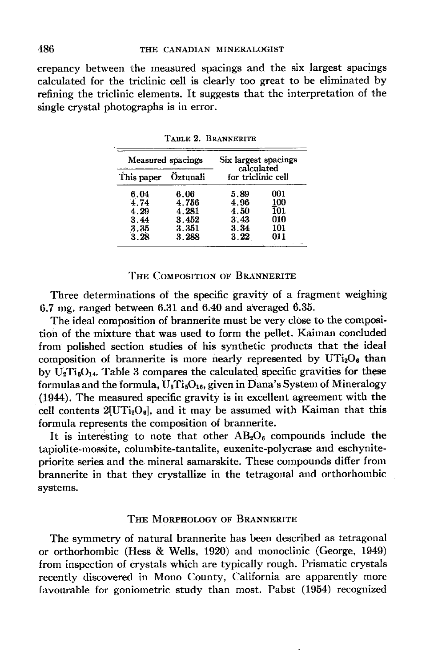crepancy between the measured spacings and the six largest spacings calculated for the triclinic cell is clearly too great to be eliminated by refining the triclinic elements. It suggests that the interpretation of the single crystal photographs is in error.

|                     | Measured spacings | Six largest spacings<br>calculated<br>for triclinic cell |                   |  |
|---------------------|-------------------|----------------------------------------------------------|-------------------|--|
| This paper Öztunali |                   |                                                          |                   |  |
| 6.04                | 6.06              | 5.89                                                     | 001               |  |
| 4.74                | 4.756             | 4.96                                                     | $\frac{100}{101}$ |  |
| 4.29                | 4.281             | 4.50                                                     |                   |  |
| 3.44                | 3.452             | 3.43                                                     | 010               |  |
| 3.35                | 3.351             | 3.34                                                     | 101               |  |
| 3.28                | 3.288             | 3.22                                                     | 011               |  |

TARLE 2. BRANNERITE

## THE COMPOSITION OF BRANNERITE

Three determinations of the specific gravity of a fragment weighing 6.7 mg. ranged between 6.3L and 6;40 and averaged 6.35.

The ideal composition of brannerite must be very close to the composition of the mixture that was used to form the pellet. Kaiman concluded from polished section studies of his synthetic products that the ideal composition of brannerite is more nearly represented by  $UTi<sub>2</sub>O<sub>6</sub>$  than by  $\dot{\mathbf{U}}_2\mathbf{Ti}_5\mathbf{O}_{14}$ . Table 3 compares the calculated specific gravities for these formulas and the formula,  $U_3Ti_5O_{16}$ , given in Dana's System of Mineralogy (1944). The measured specific gravity is in excellent agreement with the cell contents  $2[UTi<sub>2</sub>O<sub>6</sub>]$ , and it may be assumed with Kaiman that this formula represents the composition of brannerite.

It is interesting to note that other  $AB_2O_6$  compounds include the tapiolite-mossite, columbite-tantalite, euxenite-polycrase and eschynitepriorite series and the mineral samarskite. These compounds differ from brannerite in that they crystallize in the tetragonal and orthorhombic systems.

#### THE MORPHOLOGY OF BRANNERITE

The symrnetry of natural brannerite has been described as tetragonal or orthorhombic (Hess & Wells, 1920) and monoclinic (George, 1949) from inspection of crystals which are typically rough. Prismatic crystals recently discovered in Mono County, California are apparently more favourable for goniometric study than most. Pabst (1954) recognized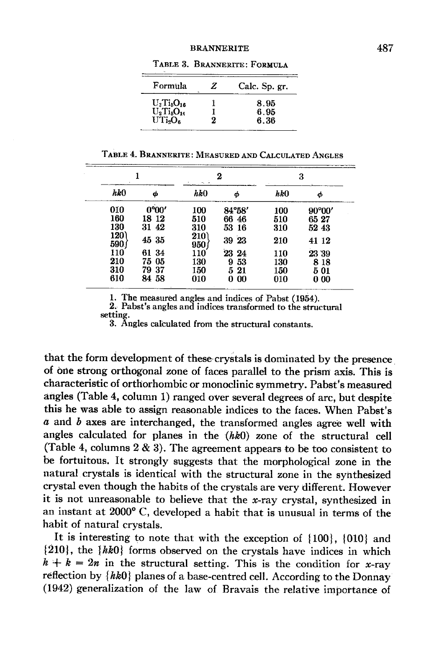#### **BRANNERITE**

| Formula                                                      | z | Calc. Sp. gr. |
|--------------------------------------------------------------|---|---------------|
| $U_{3}Ti_{6}O_{16}$<br>$U_2$ Ti <sub>5</sub> O <sub>14</sub> |   | 8.95<br>6.95  |
| UTi <sub>2</sub> O <sub>s</sub>                              |   | 6.36          |

TABLE 3. BRANNERITE: FORMULA

TABLE 4. BRANNERITE: MEASURED AND CALCULATED ANGLES

|                    |       |            | 2        | 3   |                 |  |
|--------------------|-------|------------|----------|-----|-----------------|--|
| hk0                | φ     | hk0        | ω        | hk0 | Φ               |  |
| 010                | 0°00' | 100        | 84°58'   | 100 | $90^{\circ}00'$ |  |
| 160                | 18 12 | 510        | 66 46    | 510 | 6527            |  |
| 130                | 31 42 | 310        | 53 16    | 310 | 52 43           |  |
| 120<br><b>590.</b> | 45 35 | 210<br>950 | 39 23    | 210 | 41 12           |  |
| 110                | 61 34 | 110        | 23 24    | 110 | 23 39           |  |
| 210                | 75 05 | 130        | 53<br>9  | 130 | 8 18            |  |
| 310                | 7937  | 150        | 5<br>-21 | 150 | 501             |  |
| 610                | 84 58 | 010        | -00<br>0 | 010 | 000             |  |

1. The measured angles and indices of Pabst (1954).

2. Pabst's angles and indices transformed to the structural setting.

3. Angles calculated from the structural constants.

that the form development of these crystals is dominated by the presence of orle strong orthogonal zone of faces parallel to the prism axis. This is characteristic of orthorhombic or monoclinic symmetry. Pabst's measured angles (Table 4, column 1) ranged over several degrees of arc, but despite this he was able to assign reasonable indices to the faces. When Pabst's  $\alpha$  and  $\dot{\beta}$  axes are interchanged, the transformed angles agree well with angles calculated for planes in the  $(hk0)$  zone of the structural cell (Table 4, columns  $2 \& 3$ ). The agreement appears to be too consistent to be fortuitous. It strongly suggests that the morphological zone in the natural crystals is identical with the structural zone in the syhthesized crystal even though the habits of the crystals are very different. However it is not unreasonable to believe that the  $x$ -ray crystal, synthesized in an instant at  $2000^{\circ}$  C, developed a habit that is unusual in terms of the habit of natural crystals.

It is interesting to note that with the exception of  $\{100\}$ ,  $\{010\}$  and  ${210}$ , the  ${hk0}$  forms observed on the crystals have indices in which  $h + k = 2n$  in the structural setting. This is the condition for x-ray reflection by  $\{kk0\}$  planes of a base-centred cell. According to the Donnay (1942) generalization of the law of Bravais the relative importance of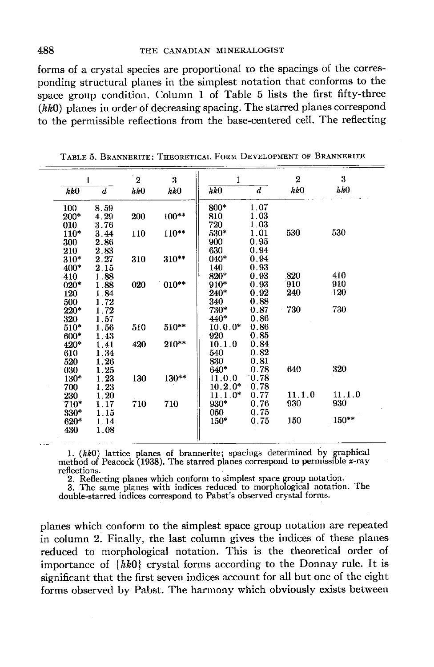forms of a crystal species are proportional to the spacings of the corresponding structural planes in the simplest notation that conforms to the space group condition. Column 1 of Table 5 lists the first fifty-three  $(hk0)$  planes in order of decreasing spacing. The starred planes correspond to the permissible reflections from the base-centered cell. The reflecting

|        | $\mathbf{1}$ | $\overline{2}$ | 3       | 1         |                  | $\boldsymbol{2}$ | 3       |
|--------|--------------|----------------|---------|-----------|------------------|------------------|---------|
| hk0    | d            | hk0            | hkO     | hk0       | $\boldsymbol{d}$ | $h\&0$           | hk0     |
| 100    | 8.59         |                |         | 800*      | 1.07             |                  |         |
| $200*$ | 4.29         | 200            | $100**$ | 810       | 1.03             |                  |         |
| 010    | 3.76         |                |         | 720       | 1.03             |                  |         |
| $110*$ | 3.44         | 110            | $110**$ | $530*$    | 1.01             | 530              | 530     |
| 300    | 2.86         |                |         | 900       | 0.95             |                  |         |
| 210    | 2.83         |                |         | 630       | 0.94             |                  |         |
| $310*$ | 2.27         | 310            | 310**   | $040*$    | 0.94             |                  |         |
| 400*   | 2.15         |                |         | 140       | 0.93             |                  |         |
| 410    | 1.88         |                |         | 820*      | 0.93             | .820             | 410     |
| $020*$ | 1.88         | 020            | $010**$ | $910*$    | 0.93             | 910              | 910     |
| 120    | 1.84         |                |         | $240*$    | 0.92             | 240              | 120     |
| 500    | 1.72         |                |         | 340       | 0.88             |                  |         |
| $220*$ | 1.72         |                |         | 730*      | 0.87             | 730              | 730     |
| 320    | 1.57         |                |         | 440*      | 0.86             |                  |         |
| $510*$ | 1.56         | 510            | $510**$ | $10.0.0*$ | 0.86             |                  |         |
| $600*$ | 1.43         |                |         | 920       | 0.85             |                  |         |
| $420*$ | 1.41         | 420            | 210**   | 10.1.0    | 0.84             |                  |         |
| 610    | 1.34         |                |         | 540       | 0.82             |                  |         |
| 520    | 1.26         |                |         | 830       | 0.81             |                  |         |
| 030    | 1.25         |                |         | $640*$    | 0.78             | 640              | 320     |
| 130*   | 1.23         | 130            | 130**   | 11.0.0    | 0.78             |                  |         |
| 700    | 1.23         |                |         | $10.2.0*$ | 0.78             |                  |         |
| 230    | 1.20         |                |         | $11.1.0*$ | 0.77             | 11.1.0           | 11.1.0  |
| $710*$ | 1.17         | 710            | 710     | $930*$    | 0.76             | 930              | 930     |
| 330*   | 1.15         |                |         | 050       | 0.75             |                  |         |
| $620*$ | 1.14         |                |         | $150*$    | 0.75             | 150              | $150**$ |
| 430    | 1.08         |                |         |           |                  |                  |         |

TABLE 5. BRANNERITE: THEORETICAL FORM DEVELOPMENT OF BRANNERITE

1.  $(hk0)$  lattice planes of brannerite; spacings determined by graphical method of Peacock (1938). The starred planes correspond to permissible x-ray reflections.

2. Reflecting planes which conform to simplest space group notation.<br>3. The same planes with indices reduced to morphological notation. The double-starred indices correspond to Pabst's observed crystal forms.

planes which conform to the simplest space group notation are repeated in column 2. Finally, the last column gives the indices of these planes reduced to morphological notation. This is the theoretical order of importance of  $\{hk0\}$  crystal forms according to the Donnay rule. It is significant that the first seven indices account for all but one of the eight forms observed by Pabst. The harmony which obviously exists between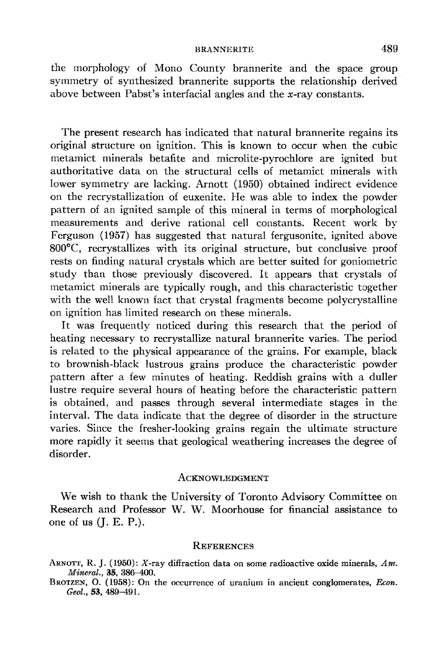### BRANNERITE 489

the morphology of Mono County brannerite and the space group symmetry of synthesized brannerite supports the relationship derived above between Pabst's interfacial angles and the  $x$ -ray constants.

The present research has indicated that natural brannerite regains its original structure on ignition. This is known to occur when the cubic metamict minerals betafite and microlite-pyrochlore are ignited but authoritative data on the structural cells of metamict minerals with lower symmetry are lacking. Arnott (1950) obtained indirect evidence on the recrystallization of euxenite. He was able to index the powder pattern of an ignited sample of this mineral in terms of morphological measurements and derive rational cell constants. Recent work by Ferguson (1957) has suggested that natural fergusonite, ignited above 800"C, recrystallizes with its original structure, but conclusive proof rests on finding natural crystals which are better suited for goniometric study than those previously discovered. It appears that crystals of metamict minerals are typically rough, and this characteristic together with the well known fact that crystal fragments become polycrystalline on ignition has limited research on these minerals.

It was frequently noticed during this research that the period of heating necessary to recrystallize natural brannerite varies. The period is related to the physical appearance of the grains. For example, black to brownish-black lustrous grains produce the characteristic powder pattern after a few minutes of heating. Reddish grains with a duller lustre require several hours of heating before the characteristic pattern is obtained, and passes through several intermediate stages in the interval. The data indicate that the degree of disorder in the structure varies. Since the fresher-looking grains regain the ultimate structure more rapidly it seems that geological weathering increases the degree of disorder.

#### ACKNOWLEDGMENT

We wish to thank the University of Toronto Advisory Committee on Research and Professor W. W. Moorhouse {or financial assistance to one of us (J. E. P.).

### **REFERENCES**

BROTZEN, O.  $(1958)$ : On the occurrence of uranium in ancient conglomerates, *Econ*. Geol., 53,489-491.

ARNOTT, R. J. (1950): X-ray diffraction data on some radioactive oxide minerals,  $Am$ . Mineral., 35, 386-400.